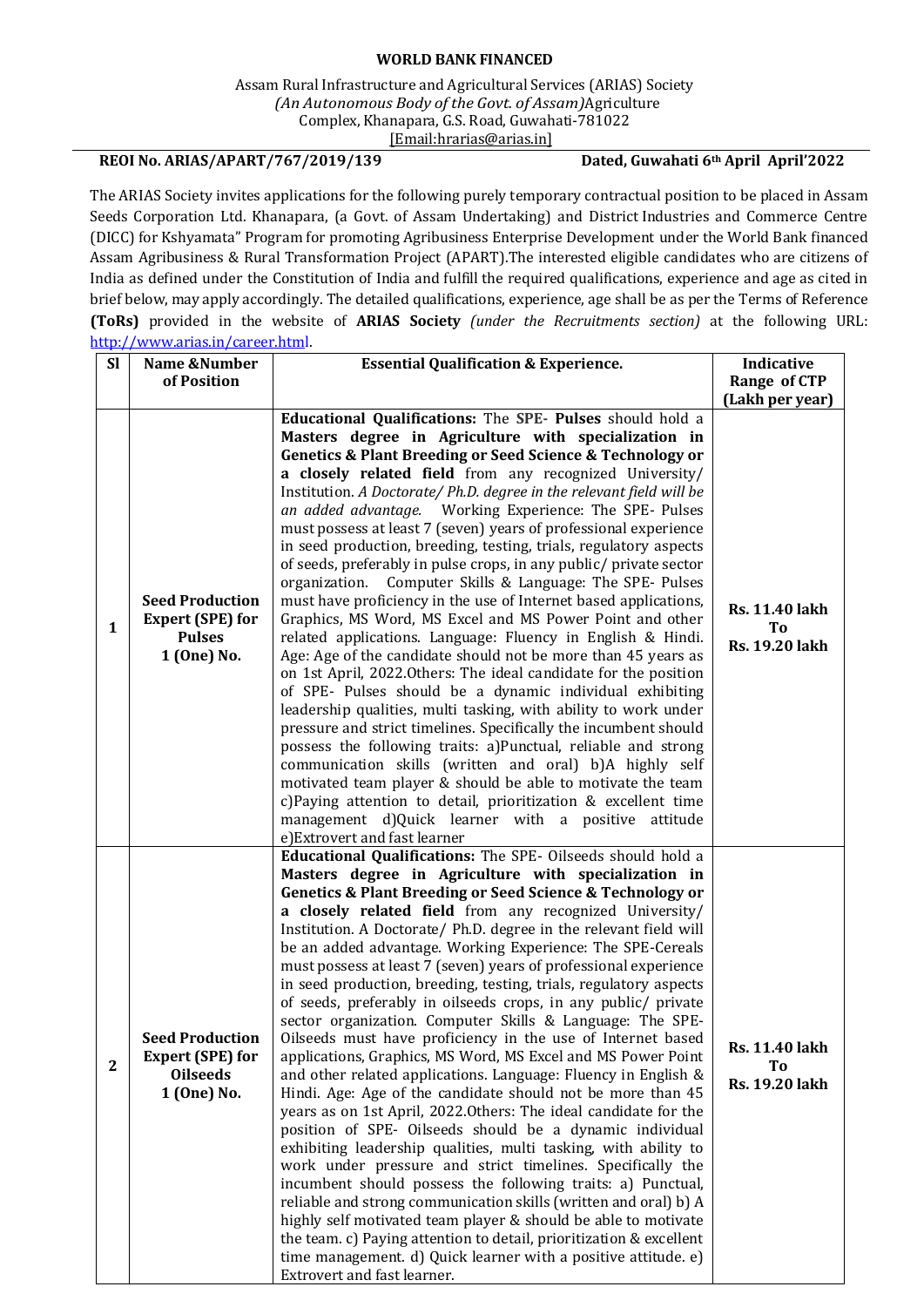## **WORLD BANK FINANCED**

Assam Rural Infrastructure and Agricultural Services (ARIAS) Society *(An Autonomous Body of the Govt. of Assam)*Agriculture Complex, Khanapara, G.S. Road, Guwahati-781022 [\[Email:hrarias@arias.in\]](mailto:recruitments@arias.in)

## **REOI No. ARIAS/APART/767/2019/139 Dated, Guwahati 6th April April'2022**

The ARIAS Society invites applications for the following purely temporary contractual position to be placed in Assam Seeds Corporation Ltd. Khanapara, (a Govt. of Assam Undertaking) and District Industries and Commerce Centre (DICC) for Kshyamata" Program for promoting Agribusiness Enterprise Development under the World Bank financed Assam Agribusiness & Rural Transformation Project (APART).The interested eligible candidates who are citizens of India as defined under the Constitution of India and fulfill the required qualifications, experience and age as cited in brief below, may apply accordingly. The detailed qualifications, experience, age shall be as per the Terms of Reference **(ToRs)** provided in the website of **ARIAS Society** *(under the Recruitments section)* at the following URL: [http://www.arias.in/career.html.](http://www.arias.in/career.html)

| <b>SI</b>    | Name &Number                                                                        | <b>Essential Qualification &amp; Experience.</b>                                                                                                                                                                                                                                                                                                                                                                                                                                                                                                                                                                                                                                                                                                                                                                                                                                                                                                                                                                                                                                                                                                                                                                                                                                                                                                                                                                                                                                                                                                                     | Indicative                                                       |
|--------------|-------------------------------------------------------------------------------------|----------------------------------------------------------------------------------------------------------------------------------------------------------------------------------------------------------------------------------------------------------------------------------------------------------------------------------------------------------------------------------------------------------------------------------------------------------------------------------------------------------------------------------------------------------------------------------------------------------------------------------------------------------------------------------------------------------------------------------------------------------------------------------------------------------------------------------------------------------------------------------------------------------------------------------------------------------------------------------------------------------------------------------------------------------------------------------------------------------------------------------------------------------------------------------------------------------------------------------------------------------------------------------------------------------------------------------------------------------------------------------------------------------------------------------------------------------------------------------------------------------------------------------------------------------------------|------------------------------------------------------------------|
|              | of Position                                                                         |                                                                                                                                                                                                                                                                                                                                                                                                                                                                                                                                                                                                                                                                                                                                                                                                                                                                                                                                                                                                                                                                                                                                                                                                                                                                                                                                                                                                                                                                                                                                                                      | Range of CTP                                                     |
|              |                                                                                     |                                                                                                                                                                                                                                                                                                                                                                                                                                                                                                                                                                                                                                                                                                                                                                                                                                                                                                                                                                                                                                                                                                                                                                                                                                                                                                                                                                                                                                                                                                                                                                      | (Lakh per year)                                                  |
| $\mathbf{1}$ | <b>Seed Production</b><br><b>Expert (SPE) for</b><br><b>Pulses</b><br>1 (One) No.   | Educational Qualifications: The SPE- Pulses should hold a<br>Masters degree in Agriculture with specialization in<br><b>Genetics &amp; Plant Breeding or Seed Science &amp; Technology or</b><br>a closely related field from any recognized University/<br>Institution. A Doctorate/ Ph.D. degree in the relevant field will be<br>an added advantage.  Working Experience: The SPE- Pulses<br>must possess at least 7 (seven) years of professional experience<br>in seed production, breeding, testing, trials, regulatory aspects<br>of seeds, preferably in pulse crops, in any public/ private sector<br>organization. Computer Skills & Language: The SPE- Pulses<br>must have proficiency in the use of Internet based applications,<br>Graphics, MS Word, MS Excel and MS Power Point and other<br>related applications. Language: Fluency in English & Hindi.<br>Age: Age of the candidate should not be more than 45 years as<br>on 1st April, 2022. Others: The ideal candidate for the position<br>of SPE- Pulses should be a dynamic individual exhibiting<br>leadership qualities, multi tasking, with ability to work under<br>pressure and strict timelines. Specifically the incumbent should<br>possess the following traits: a)Punctual, reliable and strong<br>communication skills (written and oral) b)A highly self<br>motivated team player & should be able to motivate the team<br>c)Paying attention to detail, prioritization & excellent time<br>management d)Quick learner with a positive attitude<br>e) Extrovert and fast learner  | <b>Rs. 11.40 lakh</b><br>T <sub>0</sub><br><b>Rs. 19.20 lakh</b> |
| $\mathbf{2}$ | <b>Seed Production</b><br><b>Expert (SPE) for</b><br><b>Oilseeds</b><br>1 (One) No. | Educational Qualifications: The SPE- Oilseeds should hold a<br>Masters degree in Agriculture with specialization in<br>Genetics & Plant Breeding or Seed Science & Technology or<br>a closely related field from any recognized University/<br>Institution. A Doctorate/ Ph.D. degree in the relevant field will<br>be an added advantage. Working Experience: The SPE-Cereals<br>must possess at least 7 (seven) years of professional experience<br>in seed production, breeding, testing, trials, regulatory aspects<br>of seeds, preferably in oilseeds crops, in any public/ private<br>sector organization. Computer Skills & Language: The SPE-<br>Oilseeds must have proficiency in the use of Internet based<br>applications, Graphics, MS Word, MS Excel and MS Power Point<br>and other related applications. Language: Fluency in English &<br>Hindi. Age: Age of the candidate should not be more than 45<br>years as on 1st April, 2022. Others: The ideal candidate for the<br>position of SPE- Oilseeds should be a dynamic individual<br>exhibiting leadership qualities, multi tasking, with ability to<br>work under pressure and strict timelines. Specifically the<br>incumbent should possess the following traits: a) Punctual,<br>reliable and strong communication skills (written and oral) b) A<br>highly self motivated team player & should be able to motivate<br>the team. c) Paying attention to detail, prioritization & excellent<br>time management. d) Quick learner with a positive attitude. e)<br>Extrovert and fast learner. | <b>Rs. 11.40 lakh</b><br>To<br>Rs. 19.20 lakh                    |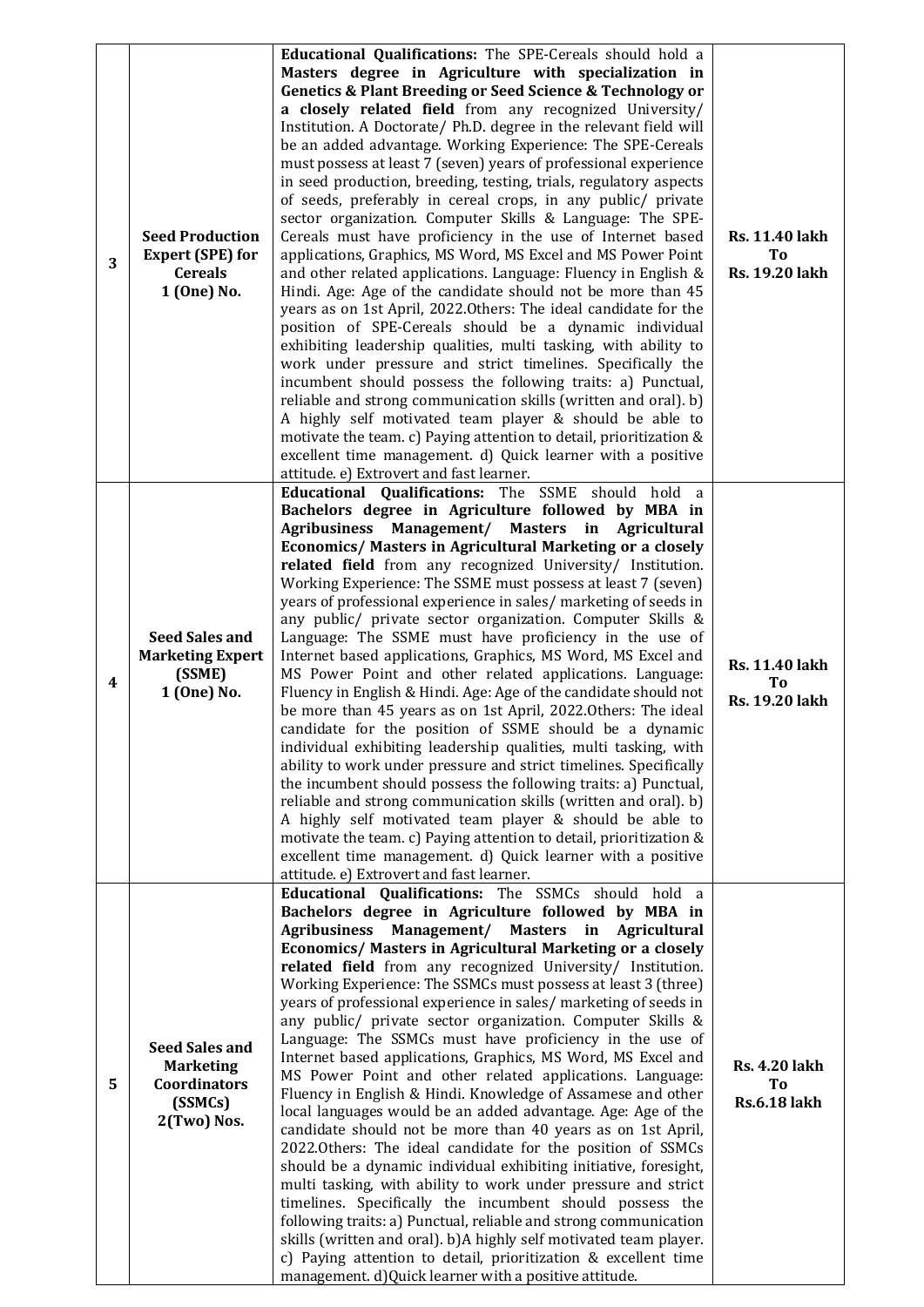| 3 | <b>Seed Production</b><br><b>Expert (SPE) for</b><br><b>Cereals</b><br>1 (One) No.  | Educational Qualifications: The SPE-Cereals should hold a<br>Masters degree in Agriculture with specialization in<br>Genetics & Plant Breeding or Seed Science & Technology or<br>a closely related field from any recognized University/<br>Institution. A Doctorate/ Ph.D. degree in the relevant field will<br>be an added advantage. Working Experience: The SPE-Cereals<br>must possess at least 7 (seven) years of professional experience<br>in seed production, breeding, testing, trials, regulatory aspects<br>of seeds, preferably in cereal crops, in any public/ private<br>sector organization. Computer Skills & Language: The SPE-<br>Cereals must have proficiency in the use of Internet based<br>applications, Graphics, MS Word, MS Excel and MS Power Point<br>and other related applications. Language: Fluency in English &<br>Hindi. Age: Age of the candidate should not be more than 45<br>years as on 1st April, 2022. Others: The ideal candidate for the<br>position of SPE-Cereals should be a dynamic individual<br>exhibiting leadership qualities, multi tasking, with ability to<br>work under pressure and strict timelines. Specifically the<br>incumbent should possess the following traits: a) Punctual,<br>reliable and strong communication skills (written and oral). b)<br>A highly self motivated team player & should be able to<br>motivate the team. c) Paying attention to detail, prioritization &<br>excellent time management. d) Quick learner with a positive<br>attitude. e) Extrovert and fast learner. | <b>Rs. 11.40 lakh</b><br>T <sub>0</sub><br>Rs. 19.20 lakh        |
|---|-------------------------------------------------------------------------------------|----------------------------------------------------------------------------------------------------------------------------------------------------------------------------------------------------------------------------------------------------------------------------------------------------------------------------------------------------------------------------------------------------------------------------------------------------------------------------------------------------------------------------------------------------------------------------------------------------------------------------------------------------------------------------------------------------------------------------------------------------------------------------------------------------------------------------------------------------------------------------------------------------------------------------------------------------------------------------------------------------------------------------------------------------------------------------------------------------------------------------------------------------------------------------------------------------------------------------------------------------------------------------------------------------------------------------------------------------------------------------------------------------------------------------------------------------------------------------------------------------------------------------------------------------------------|------------------------------------------------------------------|
| 4 | <b>Seed Sales and</b><br><b>Marketing Expert</b><br>(SSME)<br>1 (One) No.           | Educational Qualifications: The SSME should hold a<br>Bachelors degree in Agriculture followed by MBA in<br>Agribusiness Management/ Masters in Agricultural<br>Economics/ Masters in Agricultural Marketing or a closely<br>related field from any recognized University/ Institution.<br>Working Experience: The SSME must possess at least 7 (seven)<br>years of professional experience in sales/ marketing of seeds in<br>any public/ private sector organization. Computer Skills &<br>Language: The SSME must have proficiency in the use of<br>Internet based applications, Graphics, MS Word, MS Excel and<br>MS Power Point and other related applications. Language:<br>Fluency in English & Hindi. Age: Age of the candidate should not<br>be more than 45 years as on 1st April, 2022.Others: The ideal<br>candidate for the position of SSME should be a dynamic<br>individual exhibiting leadership qualities, multi tasking, with<br>ability to work under pressure and strict timelines. Specifically<br>the incumbent should possess the following traits: a) Punctual,<br>reliable and strong communication skills (written and oral). b)<br>A highly self motivated team player & should be able to<br>motivate the team. c) Paying attention to detail, prioritization &<br>excellent time management. d) Quick learner with a positive<br>attitude. e) Extrovert and fast learner.                                                                                                                                                       | <b>Rs. 11.40 lakh</b><br>T <sub>o</sub><br><b>Rs. 19.20 lakh</b> |
| 5 | <b>Seed Sales and</b><br><b>Marketing</b><br>Coordinators<br>(SSMCs)<br>2(Two) Nos. | Educational Qualifications: The SSMCs should hold a<br>Bachelors degree in Agriculture followed by MBA in<br>Management/ Masters in<br><b>Agribusiness</b><br>Agricultural<br>Economics/ Masters in Agricultural Marketing or a closely<br>related field from any recognized University/ Institution.<br>Working Experience: The SSMCs must possess at least 3 (three)<br>years of professional experience in sales/ marketing of seeds in<br>any public/ private sector organization. Computer Skills &<br>Language: The SSMCs must have proficiency in the use of<br>Internet based applications, Graphics, MS Word, MS Excel and<br>MS Power Point and other related applications. Language:<br>Fluency in English & Hindi. Knowledge of Assamese and other<br>local languages would be an added advantage. Age: Age of the<br>candidate should not be more than 40 years as on 1st April,<br>2022.Others: The ideal candidate for the position of SSMCs<br>should be a dynamic individual exhibiting initiative, foresight,<br>multi tasking, with ability to work under pressure and strict<br>timelines. Specifically the incumbent should possess the<br>following traits: a) Punctual, reliable and strong communication<br>skills (written and oral). b)A highly self motivated team player.<br>c) Paying attention to detail, prioritization & excellent time<br>management. d) Quick learner with a positive attitude.                                                                                                                              | <b>Rs. 4.20 lakh</b><br>To<br><b>Rs.6.18 lakh</b>                |